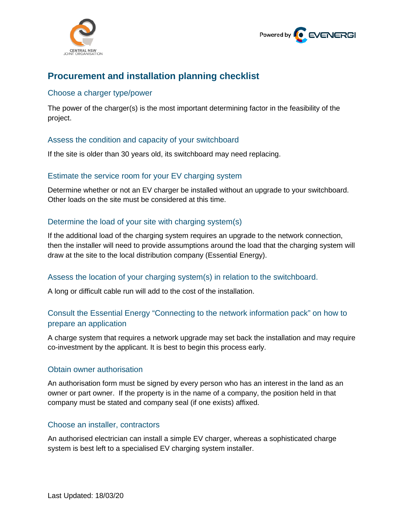



# **Procurement and installation planning checklist**

### Choose a charger type/power

The power of the charger(s) is the most important determining factor in the feasibility of the project.

# Assess the condition and capacity of your switchboard

If the site is older than 30 years old, its switchboard may need replacing.

#### Estimate the service room for your EV charging system

Determine whether or not an EV charger be installed without an upgrade to your switchboard. Other loads on the site must be considered at this time.

# Determine the load of your site with charging system(s)

If the additional load of the charging system requires an upgrade to the network connection, then the installer will need to provide assumptions around the load that the charging system will draw at the site to the local distribution company (Essential Energy).

# Assess the location of your charging system(s) in relation to the switchboard.

A long or difficult cable run will add to the cost of the installation.

# Consult the Essential Energy "Connecting to the network information pack" on how to prepare an application

A charge system that requires a network upgrade may set back the installation and may require co-investment by the applicant. It is best to begin this process early.

#### Obtain owner authorisation

An authorisation form must be signed by every person who has an interest in the land as an owner or part owner. If the property is in the name of a company, the position held in that company must be stated and company seal (if one exists) affixed.

#### Choose an installer, contractors

An authorised electrician can install a simple EV charger, whereas a sophisticated charge system is best left to a specialised EV charging system installer.